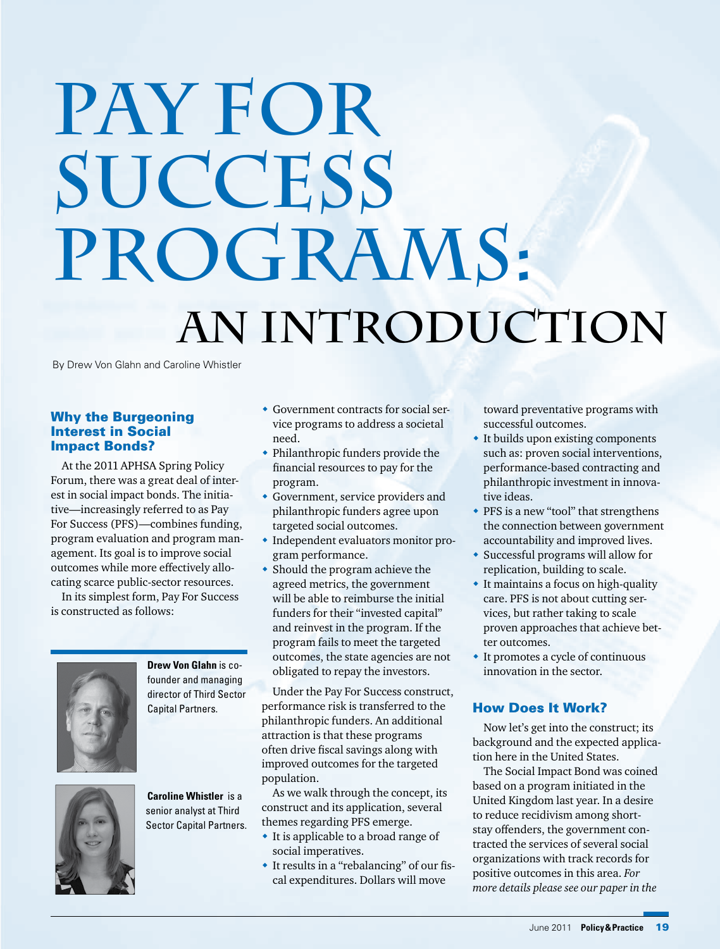# **Pay for Success Programs: An Introduction**

By Drew Von Glahn and Caroline Whistler

# Why the Burgeoning Interest in Social Impact Bonds?

At the 2011 APHSA Spring Policy Forum, there was a great deal of interest in social impact bonds. The initiative—increasingly referred to as Pay For Success (PFS)—combines funding, program evaluation and program management. Its goal is to improve social outcomes while more effectively allocating scarce public-sector resources.

In its simplest form, Pay For Success is constructed as follows:



**Drew Von Glahn** is cofounder and managing director of Third Sector Capital Partners.

**Caroline Whistler** is a senior analyst at Third Sector Capital Partners.

- Government contracts for social service programs to address a societal need.
- Philanthropic funders provide the financial resources to pay for the program.
- Government, service providers and philanthropic funders agree upon targeted social outcomes.
- Independent evaluators monitor program performance.
- Should the program achieve the agreed metrics, the government will be able to reimburse the initial funders for their "invested capital" and reinvest in the program. If the program fails to meet the targeted outcomes, the state agencies are not obligated to repay the investors.

Under the Pay For Success construct, performance risk is transferred to the philanthropic funders. An additional attraction is that these programs often drive fiscal savings along with improved outcomes for the targeted population.

As we walk through the concept, its construct and its application, several themes regarding PFS emerge.

- It is applicable to a broad range of social imperatives.
- $\bullet$  It results in a "rebalancing" of our fiscal expenditures. Dollars will move

toward preventative programs with successful outcomes.

- It builds upon existing components such as: proven social interventions, performance-based contracting and philanthropic investment in innovative ideas.
- PFS is a new "tool" that strengthens the connection between government accountability and improved lives.
- Successful programs will allow for replication, building to scale.
- It maintains a focus on high-quality care. PFS is not about cutting services, but rather taking to scale proven approaches that achieve better outcomes.
- It promotes a cycle of continuous innovation in the sector.

# How Does It Work?

Now let's get into the construct; its background and the expected application here in the United States.

The Social Impact Bond was coined based on a program initiated in the United Kingdom last year. In a desire to reduce recidivism among shortstay offenders, the government contracted the services of several social organizations with track records for positive outcomes in this area. *For more details please see our paper in the* 

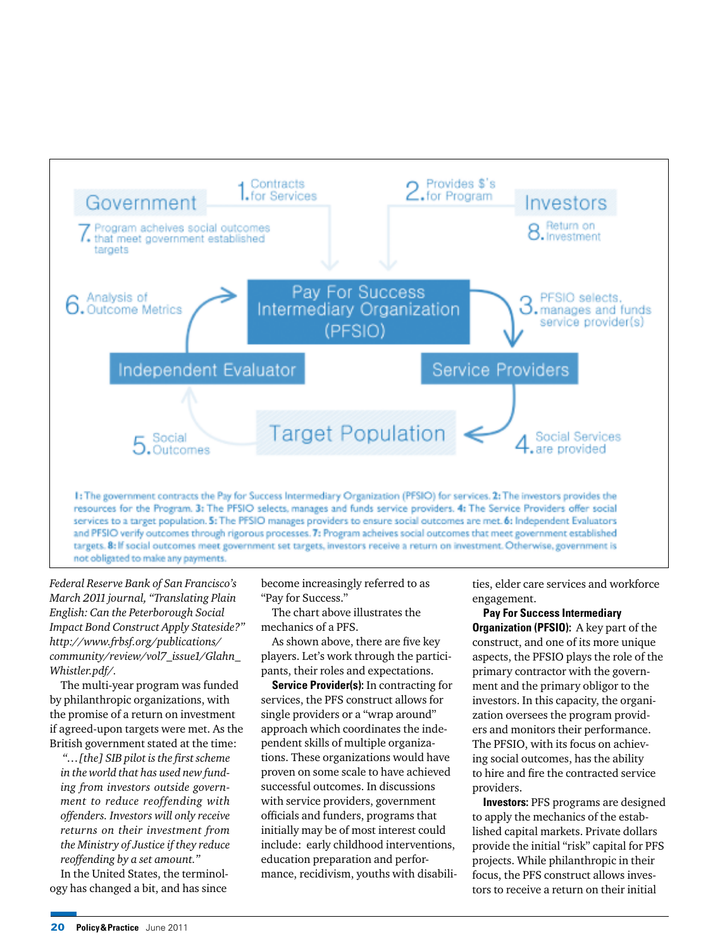

*Federal Reserve Bank of San Francisco's March 2011 journal, "Translating Plain English: Can the Peterborough Social Impact Bond Construct Apply Stateside?" http://www.frbsf.org/publications/ community/review/vol7\_issue1/Glahn\_ Whistler.pdf/.*

The multi-year program was funded by philanthropic organizations, with the promise of a return on investment if agreed-upon targets were met. As the British government stated at the time:

*"…[the] SIB pilot is the first scheme in the world that has used new funding from investors outside government to reduce reoffending with offenders. Investors will only receive returns on their investment from the Ministry of Justice if they reduce reoffending by a set amount."*

In the United States, the terminology has changed a bit, and has since

become increasingly referred to as "Pay for Success."

The chart above illustrates the mechanics of a PFS.

As shown above, there are five key players. Let's work through the participants, their roles and expectations.

**Service Provider(s):** In contracting for services, the PFS construct allows for single providers or a "wrap around" approach which coordinates the independent skills of multiple organizations. These organizations would have proven on some scale to have achieved successful outcomes. In discussions with service providers, government officials and funders, programs that initially may be of most interest could include: early childhood interventions, education preparation and performance, recidivism, youths with disabilities, elder care services and workforce engagement.

**Pay For Success Intermediary Organization (PFSIO):** A key part of the construct, and one of its more unique aspects, the PFSIO plays the role of the primary contractor with the government and the primary obligor to the investors. In this capacity, the organization oversees the program providers and monitors their performance. The PFSIO, with its focus on achieving social outcomes, has the ability to hire and fire the contracted service providers.

**Investors:** PFS programs are designed to apply the mechanics of the established capital markets. Private dollars provide the initial "risk" capital for PFS projects. While philanthropic in their focus, the PFS construct allows investors to receive a return on their initial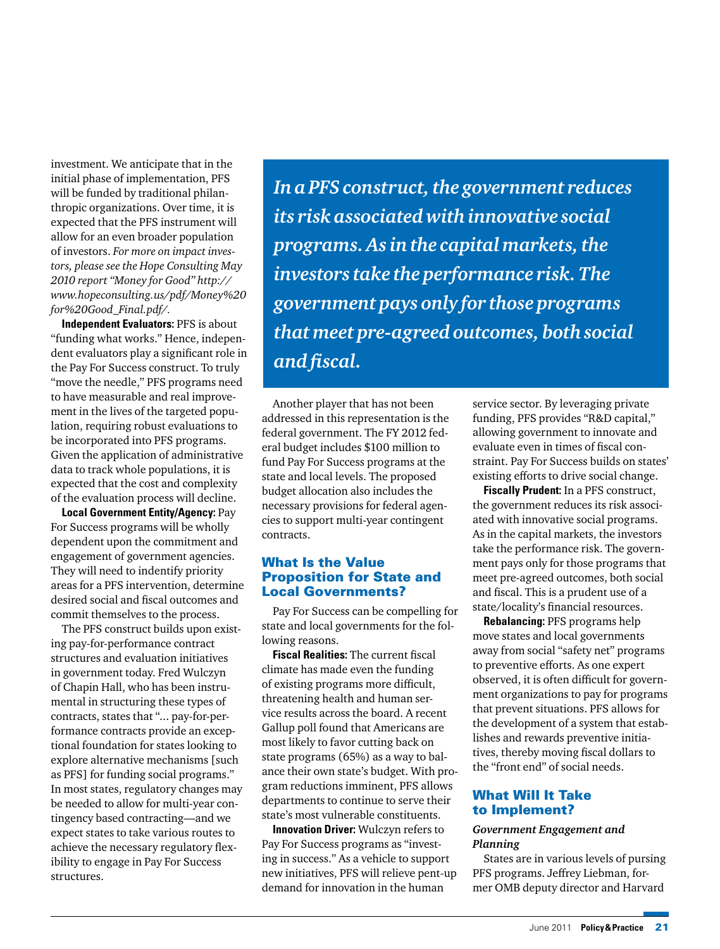investment. We anticipate that in the initial phase of implementation, PFS will be funded by traditional philanthropic organizations. Over time, it is expected that the PFS instrument will allow for an even broader population of investors. *For more on impact investors, please see the Hope Consulting May 2010 report "Money for Good" http:// www.hopeconsulting.us/pdf/Money%20 for%20Good\_Final.pdf/.* 

**Independent Evaluators:** PFS is about "funding what works." Hence, independent evaluators play a significant role in the Pay For Success construct. To truly "move the needle," PFS programs need to have measurable and real improvement in the lives of the targeted population, requiring robust evaluations to be incorporated into PFS programs. Given the application of administrative data to track whole populations, it is expected that the cost and complexity of the evaluation process will decline.

**Local Government Entity/Agency:** Pay For Success programs will be wholly dependent upon the commitment and engagement of government agencies. They will need to indentify priority areas for a PFS intervention, determine desired social and fiscal outcomes and commit themselves to the process.

The PFS construct builds upon existing pay-for-performance contract structures and evaluation initiatives in government today. Fred Wulczyn of Chapin Hall, who has been instrumental in structuring these types of contracts, states that "... pay-for-performance contracts provide an exceptional foundation for states looking to explore alternative mechanisms [such as PFS] for funding social programs." In most states, regulatory changes may be needed to allow for multi-year contingency based contracting—and we expect states to take various routes to achieve the necessary regulatory flexibility to engage in Pay For Success structures.

*In a PFS construct, the government reduces its risk associated with innovative social programs. As in the capital markets, the investors take the performance risk. The government pays only for those programs that meet pre-agreed outcomes, both social and fiscal.* 

Another player that has not been addressed in this representation is the federal government. The FY 2012 federal budget includes \$100 million to fund Pay For Success programs at the state and local levels. The proposed budget allocation also includes the necessary provisions for federal agencies to support multi-year contingent contracts.

#### What Is the Value Proposition for State and Local Governments?

Pay For Success can be compelling for state and local governments for the following reasons.

**Fiscal Realities:** The current fiscal climate has made even the funding of existing programs more difficult, threatening health and human service results across the board. A recent Gallup poll found that Americans are most likely to favor cutting back on state programs (65%) as a way to balance their own state's budget. With program reductions imminent, PFS allows departments to continue to serve their state's most vulnerable constituents.

**Innovation Driver:** Wulczyn refers to Pay For Success programs as "investing in success." As a vehicle to support new initiatives, PFS will relieve pent-up demand for innovation in the human

service sector. By leveraging private funding, PFS provides "R&D capital," allowing government to innovate and evaluate even in times of fiscal constraint. Pay For Success builds on states' existing efforts to drive social change.

**Fiscally Prudent:** In a PFS construct, the government reduces its risk associated with innovative social programs. As in the capital markets, the investors take the performance risk. The government pays only for those programs that meet pre-agreed outcomes, both social and fiscal. This is a prudent use of a state/locality's financial resources.

**Rebalancing:** PFS programs help move states and local governments away from social "safety net" programs to preventive efforts. As one expert observed, it is often difficult for government organizations to pay for programs that prevent situations. PFS allows for the development of a system that establishes and rewards preventive initiatives, thereby moving fiscal dollars to the "front end" of social needs.

# What Will It Take to Implement?

## *Government Engagement and Planning*

States are in various levels of pursing PFS programs. Jeffrey Liebman, former OMB deputy director and Harvard